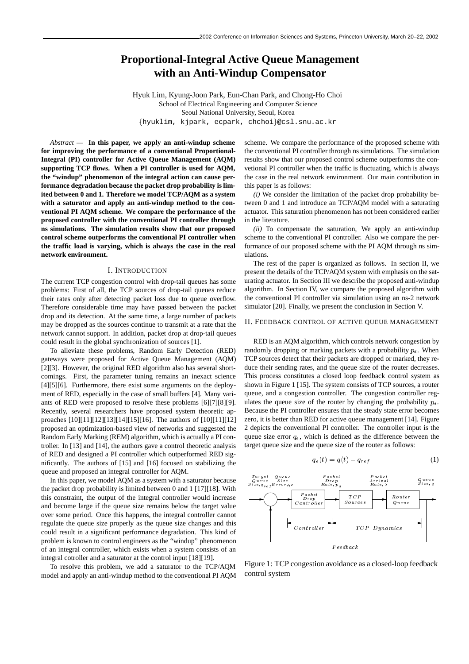# **Proportional-Integral Active Queue Management with an Anti-Windup Compensator**

Hyuk Lim, Kyung-Joon Park, Eun-Chan Park, and Chong-Ho Choi School of Electrical Engineering and Computer Science Seoul National University, Seoul, Korea hyuklim, kjpark, ecpark, chchoi-@csl.snu.ac.kr

*Abstract —* **In this paper, we apply an anti-windup scheme for improving the performance of a conventional Proportional-Integral (PI) controller for Active Queue Management (AQM) supporting TCP flows. When a PI controller is used for AQM, the "windup" phenomenon of the integral action can cause performance degradation because the packet drop probability is limited between 0 and 1. Therefore we model TCP/AQM as a system with a saturator and apply an anti-windup method to the conventional PI AQM scheme. We compare the performance of the proposed controller with the conventional PI controller through ns simulations. The simulation results show that our proposed control scheme outperforms the conventional PI controller when the traffic load is varying, which is always the case in the real network environment.**

#### I. INTRODUCTION

The current TCP congestion control with drop-tail queues has some problems: First of all, the TCP sources of drop-tail queues reduce their rates only after detecting packet loss due to queue overflow. Therefore considerable time may have passed between the packet drop and its detection. At the same time, a large number of packets may be dropped as the sources continue to transmit at a rate that the network cannot support. In addition, packet drop at drop-tail queues could result in the global synchronization of sources [1].

To alleviate these problems, Random Early Detection (RED) gateways were proposed for Active Queue Management (AQM) [2][3]. However, the original RED algorithm also has several shortcomings. First, the parameter tuning remains an inexact science [4][5][6]. Furthermore, there exist some arguments on the deployment of RED, especially in the case of small buffers [4]. Many variants of RED were proposed to resolve these problems [6][7][8][9]. Recently, several researchers have proposed system theoretic approaches [10][11][12][13][14][15][16]. The authors of [10][11][12] proposed an optimization-based view of networks and suggested the Random Early Marking (REM) algorithm, which is actually a PI controller. In [13] and [14], the authors gave a control theoretic analysis of RED and designed a PI controller which outperformed RED significantly. The authors of [15] and [16] focused on stabilizing the queue and proposed an integral controller for AQM.

In this paper, we model AQM as a system with a saturator because the packet drop probability is limited between 0 and 1 [17][18]. With this constraint, the output of the integral controller would increase and become large if the queue size remains below the target value over some period. Once this happens, the integral controller cannot regulate the queue size properly as the queue size changes and this could result in a significant performance degradation. This kind of problem is known to control engineers as the "windup" phenomenon of an integral controller, which exists when a system consists of an integral cotroller and a saturator at the control input [18][19].

To resolve this problem, we add a saturator to the TCP/AQM model and apply an anti-windup method to the conventional PI AQM scheme. We compare the performance of the proposed scheme with the conventional PI controller through ns simulations. The simulation results show that our proposed control scheme outperforms the convetional PI controller when the traffic is fluctuating, which is always the case in the real network environment. Our main contribution in this paper is as follows:

*(i)* We consider the limitation of the packet drop probability between 0 and 1 and introduce an TCP/AQM model with a saturating actuator. This saturation phenomenon has not been considered earlier in the literature.

*(ii)* To compensate the saturation, We apply an anti-windup scheme to the conventional PI controller. Also we compare the performance of our proposed scheme with the PI AQM through ns simulations.

The rest of the paper is organized as follows. In section II, we present the details of the TCP/AQM system with emphasis on the saturating actuator. In Section III we describe the proposed anti-windup algorithm. In Section IV, we compare the proposed algorithm with the conventional PI controller via simulation using an ns-2 network simulator [20]. Finally, we present the conclusion in Section V.

#### II. FEEDBACK CONTROL OF ACTIVE QUEUE MANAGEMENT

RED is an AQM algorithm, which controls network congestion by randomly dropping or marking packets with a probability  $p_d$ . When TCP sources detect that their packets are dropped or marked, they reduce their sending rates, and the queue size of the router decreases. This process constitutes a closed loop feedback control system as shown in Figure 1 [15]. The system consists of TCP sources, a router queue, and a congestion controller. The congestion controller regulates the queue size of the router by changing the probability  $p_d$ . Because the PI controller ensures that the steady state error becomes zero, it is better than RED for active queue management [14]. Figure 2 depicts the conventional PI controller. The controller input is the queue size error  $q_e$ , which is defined as the difference between the target queue size and the queue size of the router as follows:

$$
q_e(t) = q(t) - q_{ref} \tag{1}
$$



Figure 1: TCP congestion avoidance as a closed-loop feedback control system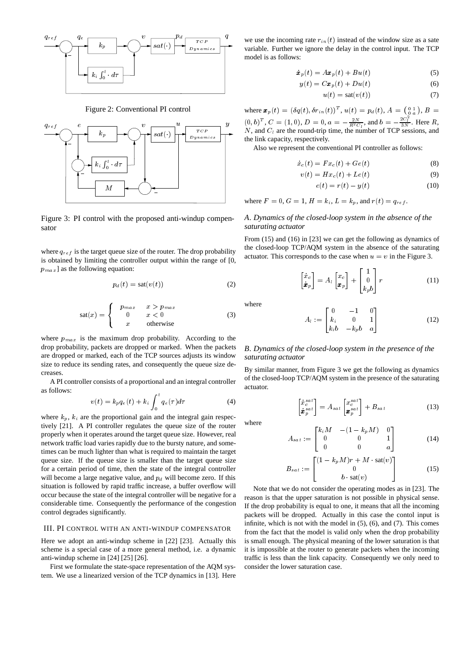

Figure 2: Conventional PI control



Figure 3: PI control with the proposed anti-windup compensator

where  $q_{ref}$  is the target queue size of the router. The drop probability is obtained by limiting the controller output within the range of [0,  $p_{max}$ ] as the following equation:

$$
p_d(t) = \text{sat}(v(t))\tag{2}
$$

$$
sat(x) = \begin{cases} p_{max} & x > p_{max} \\ 0 & x < 0 \\ x & \text{otherwise} \end{cases}
$$
 (3)

where  $p_{max}$  is the maximum drop probability. According to the drop probability, packets are dropped or marked. When the packets are dropped or marked, each of the TCP sources adjusts its window size to reduce its sending rates, and consequently the queue size decreases.

A PI controller consists of a proportional and an integral controller as follows:

$$
v(t) = k_p q_e(t) + k_i \int_0^t q_e(\tau) d\tau \tag{4}
$$

where  $k_p$ ,  $k_i$  are the proportional gain and the integral gain respectively [21]. A PI controller regulates the queue size of the router properly when it operates around the target queue size. However, real network traffic load varies rapidly due to the bursty nature, and sometimes can be much lighter than what is required to maintain the target queue size. If the queue size is smaller than the target queue size for a certain period of time, then the state of the integral controller will become a large negative value, and  $p_d$  will become zero. If this situation is followed by rapid traffic increase, a buffer overflow will occur because the state of the integral controller will be negative for a considerable time. Consequently the performance of the congestion control degrades significantly.

#### III. PI CONTROL WITH AN ANTI-WINDUP COMPENSATOR

Here we adopt an anti-windup scheme in [22] [23]. Actually this scheme is a special case of a more general method, i.e. a dynamic anti-windup scheme in [24] [25] [26].

First we formulate the state-space representation of the AQM system. We use a linearized version of the TCP dynamics in [13]. Here

we use the incoming rate  $r_{in}(t)$  instead of the window size as a sate variable. Further we ignore the delay in the control input. The TCP model is as follows:

$$
\dot{\boldsymbol{x}}_p(t) = A \boldsymbol{x}_p(t) + B u(t) \tag{5}
$$

$$
y(t) = Cx_p(t) + Du(t)
$$
 (6)

$$
u(t) = \text{sat}(v(t))\tag{7}
$$

where  $\bm{x}_p(t) = (\delta q(t), \delta r_{in}(t))^T$ ,  $u(t) = p_d(t), A = \begin{pmatrix} 0 & 1 \\ 0 & a \end{pmatrix}, B =$  $(0, b)^T$ ,  $C = (1, 0)$ ,  $D = 0$ ,  $a = -\frac{2N}{R^2 C_l}$ , and  $b = -\frac{2C_l}{3N}$ . Here R,  $N$ , and  $C_l$  are the round-trip time, the number of TCP sessions, and the link capacity, respectively.

Also we represent the conventional PI controller as follows:

$$
\dot{x}_c(t) = Fx_c(t) + Ge(t) \tag{8}
$$

$$
v(t) = Hx_c(t) + Le(t)
$$
\n(9)

$$
e(t) = r(t) - y(t) \tag{10}
$$

where 
$$
F = 0
$$
,  $G = 1$ ,  $H = k_i$ ,  $L = k_p$ , and  $r(t) = q_{ref}$ .

## *A*. *Dynamics of the closed-loop system in the absence of the saturating actuator*

From (15) and (16) in [23] we can get the following as dynamics of the closed-loop TCP/AQM system in the absence of the saturating actuator. This corresponds to the case when  $u = v$  in the Figure 3.

$$
\begin{bmatrix} \dot{x}_c \\ \dot{x}_p \end{bmatrix} = A_l \begin{bmatrix} x_c \\ x_p \end{bmatrix} + \begin{bmatrix} 1 \\ 0 \\ k_p b \end{bmatrix} r
$$
 (11)

where

$$
A_l := \begin{bmatrix} 0 & -1 & 0 \\ k_i & 0 & 1 \\ k_i b & -k_p b & a \end{bmatrix}
$$
 (12)

## *B*. *Dynamics of the closed-loop system in the presence of the saturating actuator*

By similar manner, from Figure 3 we get the following as dynamics of the closed-loop TCP/AQM system in the presence of the saturating actuator.

$$
\begin{bmatrix} \dot{x}_c^{sat} \\ \dot{x}_p^{sat} \end{bmatrix} = A_{sat} \begin{bmatrix} x_c^{sat} \\ x_p^{sat} \end{bmatrix} + B_{sat} \tag{13}
$$

where

$$
A_{sat} := \begin{bmatrix} k_i M & -(1 - k_p M) & 0 \\ 0 & 0 & 1 \\ 0 & 0 & a \end{bmatrix}
$$
 (14)

$$
B_{sat} := \begin{bmatrix} (1 - k_p M)r + M \cdot \text{sat}(v) \\ 0 \\ b \cdot \text{sat}(v) \end{bmatrix}
$$
 (15)

Note that we do not consider the operating modes as in [23]. The reason is that the upper saturation is not possible in physical sense. If the drop probability is equal to one, it means that all the incoming packets will be dropped. Actually in this case the contol input is infinite, which is not with the model in (5), (6), and (7). This comes from the fact that the model is valid only when the drop probability is small enough. The physical meaning of the lower saturation is that it is impossible at the router to generate packets when the incoming traffic is less than the link capacity. Consequently we only need to consider the lower saturation case.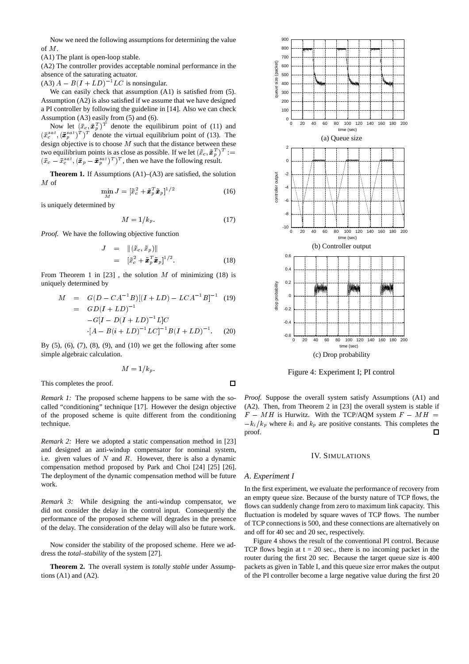Now we need the following assumptions for determining the value of M

(A1) The plant is open-loop stable.

(A2) The controller provides acceptable nominal performance in the absence of the saturating actuator.

 $(A3) A - B(I + LD)^{-1} LC$  is nonsingular.

We can easily check that assumption (A1) is satisfied from (5). Assumption (A2) is also satisfied if we assume that we have designed a PI controller by following the guideline in [14]. Also we can check Assumption (A3) easily from (5) and (6).

Now let  $(\bar{x}_c, \bar{x}_p^T)^T$  denote the equilibirum point of (11) and  $(\bar{x}^{sat}_{c}, (\bar{x}^{sat}_{p})^{T})^{T}$  denote the virtual equilibrium point of (13). The design objective is to choose  $M$  such that the distance between these two equilibrium points is as close as possible. If we let  $(\tilde{x}_c, \tilde{x}_p^T)^T :=$  $(\bar{x}_c - \bar{x}_c^{sat}, (\bar{x}_p - \bar{x}_p^{sat})^T)^T$ , then we have the following result.

**Theorem 1.** If Assumptions (A1)–(A3) are satisfied, the solution  $M$  of

$$
\min_{M} J = [\tilde{x}_c^2 + \tilde{x}_p^T \tilde{x}_p]^{1/2}
$$
\n(16)

is uniquely determined by

$$
M = 1/k_p. \tag{17}
$$

*Proof.* We have the following objective function

$$
J = \|(\tilde{x}_c, \tilde{x}_p)\|
$$
  
=  $[\tilde{x}_c^2 + \tilde{x}_p^T \tilde{x}_p]^{1/2}.$  (18)

From Theorem 1 in [23], the solution M of minimizing (18) is uniquely determined by

$$
M = G(D - CA^{-1}B)[(I + LD) - LCA^{-1}B]^{-1}
$$
 (19)  
=  $GD(I + LD)^{-1}$   
 $-G[I - D(I + LD)^{-1}L]C$   
 $[A - B(i + LD)^{-1}LC]^{-1}B(I + LD)^{-1}$ . (20)

By  $(5)$ ,  $(6)$ ,  $(7)$ ,  $(8)$ ,  $(9)$ , and  $(10)$  we get the following after some simple algebraic calculation.

$$
M=1/k_p.
$$

This completes the proof.

*Remark 1:* The proposed scheme happens to be same with the socalled "conditioning" technique [17]. However the design objective of the proposed scheme is quite different from the conditioning technique.

*Remark 2:* Here we adopted a static compensation method in [23] and designed an anti-windup compensator for nominal system, i.e. given values of  $N$  and  $R$ . However, there is also a dynamic compensation method proposed by Park and Choi [24] [25] [26]. The deployment of the dynamic compensation method will be future work.

*Remark 3:* While designing the anti-windup compensator, we did not consider the delay in the control input. Consequently the performance of the proposed scheme will degrades in the presence of the delay. The consideration of the delay will also be future work.

Now consider the stability of the proposed scheme. Here we address the *total–stability* of the system [27].

**Theorem 2.** The overall system is *totally stable* under Assumptions  $(A1)$  and  $(A2)$ .



Figure 4: Experiment I; PI control

*Proof.* Suppose the overall system satisfy Assumptions (A1) and (A2). Then, from Theorem 2 in [23] the overall system is stable if  $F - MH$  is Hurwitz. With the TCP/AQM system  $F - MH =$  $-k_i/k_p$  where  $k_i$  and  $k_p$  are positive constants. This completes the proof. П

## IV. SIMULATIONS

#### *A*. *Experiment I*

 $\Box$ 

In the first experiment, we evaluate the performance of recovery from an empty queue size. Because of the bursty nature of TCP flows, the flows can suddenly change from zero to maximum link capacity. This fluctuation is modeled by square waves of TCP flows. The number of TCP connections is 500, and these connections are alternatively on and off for 40 sec and 20 sec, respectively.

Figure 4 shows the result of the conventional PI control. Because TCP flows begin at  $t = 20$  sec., there is no incoming packet in the router during the first 20 sec. Because the target queue size is 400 packets as given in Table I, and this queue size error makes the output of the PI controller become a large negative value during the first 20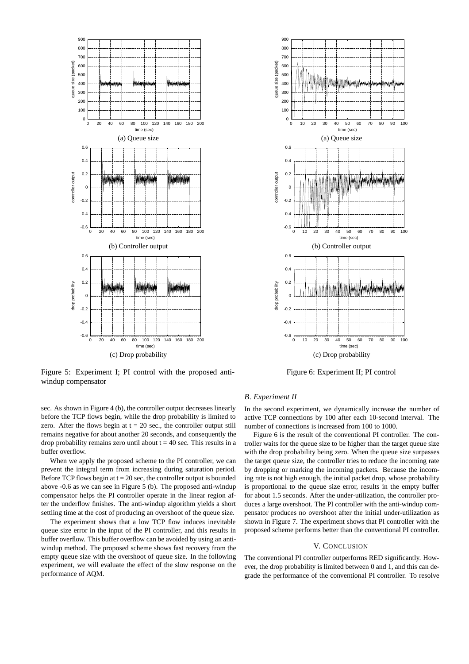

Figure 5: Experiment I; PI control with the proposed antiwindup compensator

sec. As shown in Figure 4 (b), the controller output decreases linearly before the TCP flows begin, while the drop probability is limited to zero. After the flows begin at  $t = 20$  sec., the controller output still remains negative for about another 20 seconds, and consequently the drop probability remains zero until about  $t = 40$  sec. This results in a buffer overflow.

When we apply the proposed scheme to the PI controller, we can prevent the integral term from increasing during saturation period. Before TCP flows begin at  $t = 20$  sec, the controller output is bounded above -0.6 as we can see in Figure 5 (b). The proposed anti-windup compensator helps the PI controller operate in the linear region after the underflow finishes. The anti-windup algorithm yields a short settling time at the cost of producing an overshoot of the queue size.

The experiment shows that a low TCP flow induces inevitable queue size error in the input of the PI controller, and this results in buffer overflow. This buffer overflow can be avoided by using an antiwindup method. The proposed scheme shows fast recovery from the empty queue size with the overshoot of queue size. In the following experiment, we will evaluate the effect of the slow response on the performance of AQM.



Figure 6: Experiment II; PI control

## *B*. *Experiment II*

In the second experiment, we dynamically increase the number of active TCP connections by 100 after each 10-second interval. The number of connections is increased from 100 to 1000.

Figure 6 is the result of the conventional PI controller. The controller waits for the queue size to be higher than the target queue size with the drop probability being zero. When the queue size surpasses the target queue size, the controller tries to reduce the incoming rate by dropping or marking the incoming packets. Because the incoming rate is not high enough, the initial packet drop, whose probability is proportional to the queue size error, results in the empty buffer for about 1.5 seconds. After the under-utilization, the controller produces a large overshoot. The PI controller with the anti-windup compensator produces no overshoot after the initial under-utilization as shown in Figure 7. The experiment shows that PI controller with the proposed scheme performs better than the conventional PI controller.

## V. CONCLUSION

The conventional PI controller outperforms RED significantly. However, the drop probability is limited between 0 and 1, and this can degrade the performance of the conventional PI controller. To resolve